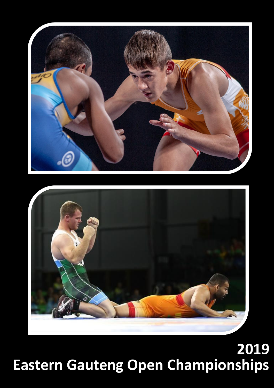



# **Eastern Gauteng Open Championships 2019**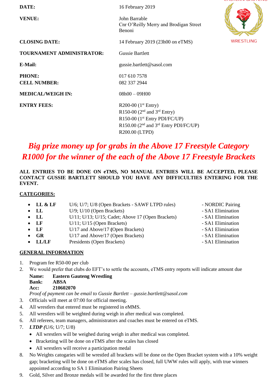| DATE:                                | 16 February 2019                                                  |                  |
|--------------------------------------|-------------------------------------------------------------------|------------------|
| <b>VENUE:</b>                        | John Barrable<br>Cnr O'Reilly Merry and Brodigan Street<br>Benoni |                  |
| <b>CLOSING DATE:</b>                 | 14 February 2019 (23h00 on eTMS)                                  | <b>WRESTLING</b> |
| TOURNAMENT ADMINISTRATOR:            | <b>Gussie Bartlett</b>                                            |                  |
| <b>E-Mail:</b>                       | gussie.bartlett@sasol.com                                         |                  |
| <b>PHONE:</b><br><b>CELL NUMBER:</b> | 017 610 7578<br>082 337 2944                                      |                  |
| <b>MEDICAL/WEIGH IN:</b>             | $08h00 - 09H00$                                                   |                  |
| <b>ENTRY FEES:</b>                   | R200-00 $(1st Entry)$                                             |                  |
|                                      | R150-00 ( $2nd$ and $3rd$ Entry)                                  |                  |
|                                      | R150-00 $(1st Entry PDIFC/UP)$                                    |                  |
|                                      | R150.00 ( $2nd$ and $3rd$ Entry PDI/FC/UP)                        |                  |
|                                      | R200.00 (LTPD)                                                    |                  |

### *Big prize money up for grabs in the Above 17 Freestyle Category R1000 for the winner of the each of the Above 17 Freestyle Brackets*

#### **ALL ENTRIES TO BE DONE ON eTMS, NO MANUAL ENTRIES WILL BE ACCEPTED, PLEASE CONTACT GUSSIE BARTLETT SHOULD YOU HAVE ANY DIFFICULTIES ENTERING FOR THE EVENT.**

#### **CATEGORIES:**

- LL & LF U/6; U/7; U/8 (Open Brackets SAWF LTPD rules) NORDIC Pairing
- LL U/9: U/10 (Open Brackets) SA1 Elimination
- LL U/11; U/13; U/15; Cadet; Above 17 (Open Brackets) SA1 Elimination
- LF U/11; U/15 (Open Brackets) SA1 Elimination
- LF U/17 and Above/17 **(Open Brackets)** SA1 Elimination
- **GR** U/17 and Above/17 (Open Brackets)  **SA1 Elimination**
- LL/LF Presidents (Open Brackets)  **SA1 Elimination**

#### **GENERAL INFORMATION**

- 1. Program fee R50-00 per club
- 2. We would prefer that clubs do EFT's to settle the accounts, eTMS entry reports will indicate amount due **Name: Eastern Gauteng Wrestling**
	- **Bank: ABSA Acc: 210602070**

*Proof of payment can be email to Gussie Bartlett – gussie.bartlett@sasol.com* 

- 3. Officials will meet at 07:00 for official meeting.
- 4. All wrestlers that entered must be registered in eMMS.
- 5. All wrestlers will be weighted during weigh in after medical was completed.
- 6. All referees, team managers, administrators and coaches must be entered on eTMS.
- 7. *LTDP (*U/6; U/7; U/8)
	- All wrestlers will be weighed during weigh in after medical was completed.
	- Bracketing will be done on eTMS after the scales has closed
	- All wrestlers will receive a participation medal
- 8. No Weights catogaries will be wrestled all brackets will be done on the Open Bracket system with a 10% weight gap; bracketing will be done on eTMS after scales has closed, full UWW rules will apply, with true winners appointed according to SA 1 Elimination Pairing Sheets
- 9. Gold, Silver and Bronze medals will be awarded for the first three places
- 
- 
- 
- 
- 
- 
-